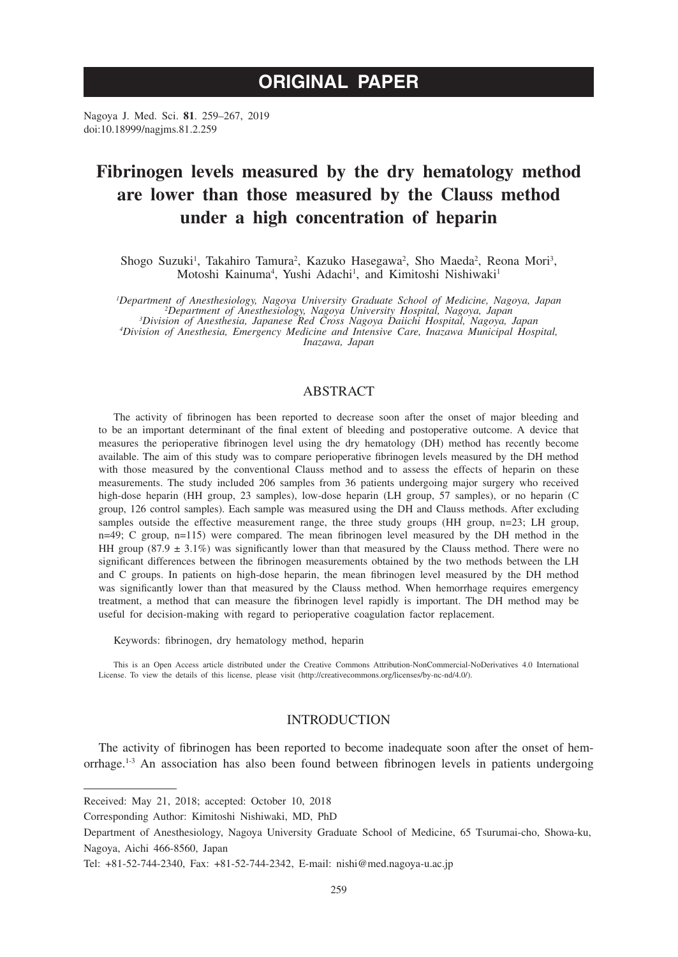# **ORIGINAL PAPER**

Nagoya J. Med. Sci. **81**. 259–267, 2019 doi:10.18999/nagjms.81.2.259

# **Fibrinogen levels measured by the dry hematology method are lower than those measured by the Clauss method under a high concentration of heparin**

Shogo Suzuki<sup>1</sup>, Takahiro Tamura<sup>2</sup>, Kazuko Hasegawa<sup>2</sup>, Sho Maeda<sup>2</sup>, Reona Mori<sup>3</sup>, Motoshi Kainuma<sup>4</sup>, Yushi Adachi<sup>1</sup>, and Kimitoshi Nishiwaki<sup>1</sup>

*1 Department of Anesthesiology, Nagoya University Graduate School of Medicine, Nagoya, Japan <sup>2</sup> Department of Anesthesiology, Nagoya University Hospital, Nagoya, Japan <sup>3</sup> Division of Anesthesia, Japanese Red Cross Nagoya Daiichi Hospital, Nagoya, Japan <sup>4</sup> Division of Anesthesia, Emergency Medicine and Intensive Care, Inazawa Municipal Hospital, Inazawa, Japan*

# ABSTRACT

The activity of fibrinogen has been reported to decrease soon after the onset of major bleeding and to be an important determinant of the final extent of bleeding and postoperative outcome. A device that measures the perioperative fibrinogen level using the dry hematology (DH) method has recently become available. The aim of this study was to compare perioperative fibrinogen levels measured by the DH method with those measured by the conventional Clauss method and to assess the effects of heparin on these measurements. The study included 206 samples from 36 patients undergoing major surgery who received high-dose heparin (HH group, 23 samples), low-dose heparin (LH group, 57 samples), or no heparin (C group, 126 control samples). Each sample was measured using the DH and Clauss methods. After excluding samples outside the effective measurement range, the three study groups (HH group, n=23; LH group, n=49; C group, n=115) were compared. The mean fibrinogen level measured by the DH method in the HH group (87.9  $\pm$  3.1%) was significantly lower than that measured by the Clauss method. There were no significant differences between the fibrinogen measurements obtained by the two methods between the LH and C groups. In patients on high-dose heparin, the mean fibrinogen level measured by the DH method was significantly lower than that measured by the Clauss method. When hemorrhage requires emergency treatment, a method that can measure the fibrinogen level rapidly is important. The DH method may be useful for decision-making with regard to perioperative coagulation factor replacement.

Keywords: fibrinogen, dry hematology method, heparin

This is an Open Access article distributed under the Creative Commons Attribution-NonCommercial-NoDerivatives 4.0 International License. To view the details of this license, please visit (http://creativecommons.org/licenses/by-nc-nd/4.0/).

# INTRODUCTION

The activity of fibrinogen has been reported to become inadequate soon after the onset of hemorrhage.1-3 An association has also been found between fibrinogen levels in patients undergoing

Received: May 21, 2018; accepted: October 10, 2018

Corresponding Author: Kimitoshi Nishiwaki, MD, PhD

Department of Anesthesiology, Nagoya University Graduate School of Medicine, 65 Tsurumai-cho, Showa-ku, Nagoya, Aichi 466-8560, Japan

Tel: +81-52-744-2340, Fax: +81-52-744-2342, E-mail: nishi@med.nagoya-u.ac.jp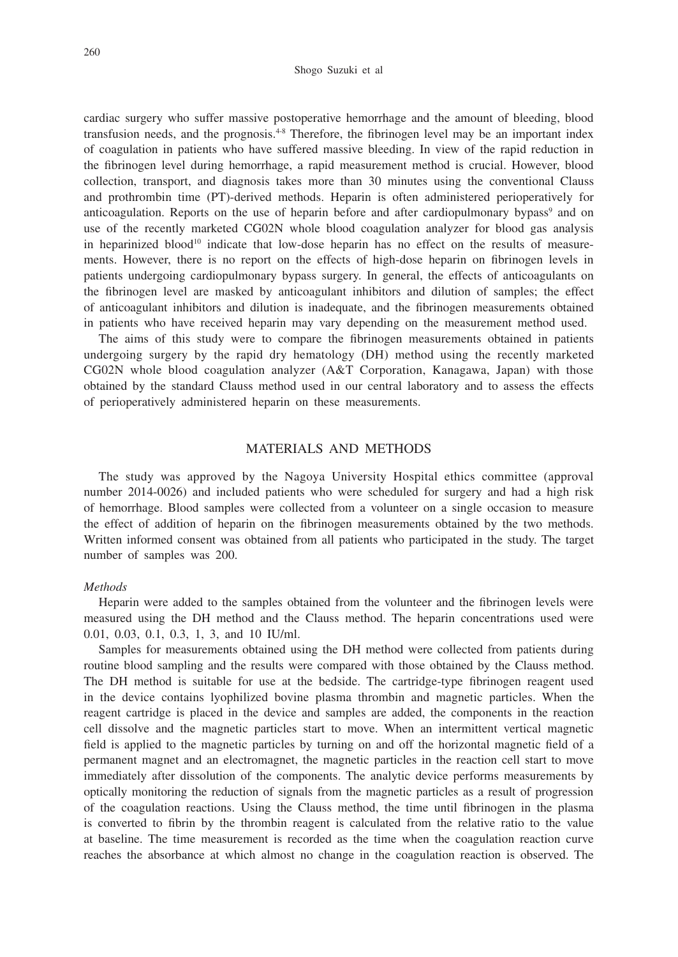#### Shogo Suzuki et al

cardiac surgery who suffer massive postoperative hemorrhage and the amount of bleeding, blood transfusion needs, and the prognosis.4-8 Therefore, the fibrinogen level may be an important index of coagulation in patients who have suffered massive bleeding. In view of the rapid reduction in the fibrinogen level during hemorrhage, a rapid measurement method is crucial. However, blood collection, transport, and diagnosis takes more than 30 minutes using the conventional Clauss and prothrombin time (PT)-derived methods. Heparin is often administered perioperatively for anticoagulation. Reports on the use of heparin before and after cardiopulmonary bypass<sup>9</sup> and on use of the recently marketed CG02N whole blood coagulation analyzer for blood gas analysis in heparinized blood<sup>10</sup> indicate that low-dose heparin has no effect on the results of measurements. However, there is no report on the effects of high-dose heparin on fibrinogen levels in patients undergoing cardiopulmonary bypass surgery. In general, the effects of anticoagulants on the fibrinogen level are masked by anticoagulant inhibitors and dilution of samples; the effect of anticoagulant inhibitors and dilution is inadequate, and the fibrinogen measurements obtained in patients who have received heparin may vary depending on the measurement method used.

The aims of this study were to compare the fibrinogen measurements obtained in patients undergoing surgery by the rapid dry hematology (DH) method using the recently marketed CG02N whole blood coagulation analyzer (A&T Corporation, Kanagawa, Japan) with those obtained by the standard Clauss method used in our central laboratory and to assess the effects of perioperatively administered heparin on these measurements.

# MATERIALS AND METHODS

The study was approved by the Nagoya University Hospital ethics committee (approval number 2014-0026) and included patients who were scheduled for surgery and had a high risk of hemorrhage. Blood samples were collected from a volunteer on a single occasion to measure the effect of addition of heparin on the fibrinogen measurements obtained by the two methods. Written informed consent was obtained from all patients who participated in the study. The target number of samples was 200.

#### *Methods*

Heparin were added to the samples obtained from the volunteer and the fibrinogen levels were measured using the DH method and the Clauss method. The heparin concentrations used were 0.01, 0.03, 0.1, 0.3, 1, 3, and 10 IU/ml.

Samples for measurements obtained using the DH method were collected from patients during routine blood sampling and the results were compared with those obtained by the Clauss method. The DH method is suitable for use at the bedside. The cartridge-type fibrinogen reagent used in the device contains lyophilized bovine plasma thrombin and magnetic particles. When the reagent cartridge is placed in the device and samples are added, the components in the reaction cell dissolve and the magnetic particles start to move. When an intermittent vertical magnetic field is applied to the magnetic particles by turning on and off the horizontal magnetic field of a permanent magnet and an electromagnet, the magnetic particles in the reaction cell start to move immediately after dissolution of the components. The analytic device performs measurements by optically monitoring the reduction of signals from the magnetic particles as a result of progression of the coagulation reactions. Using the Clauss method, the time until fibrinogen in the plasma is converted to fibrin by the thrombin reagent is calculated from the relative ratio to the value at baseline. The time measurement is recorded as the time when the coagulation reaction curve reaches the absorbance at which almost no change in the coagulation reaction is observed. The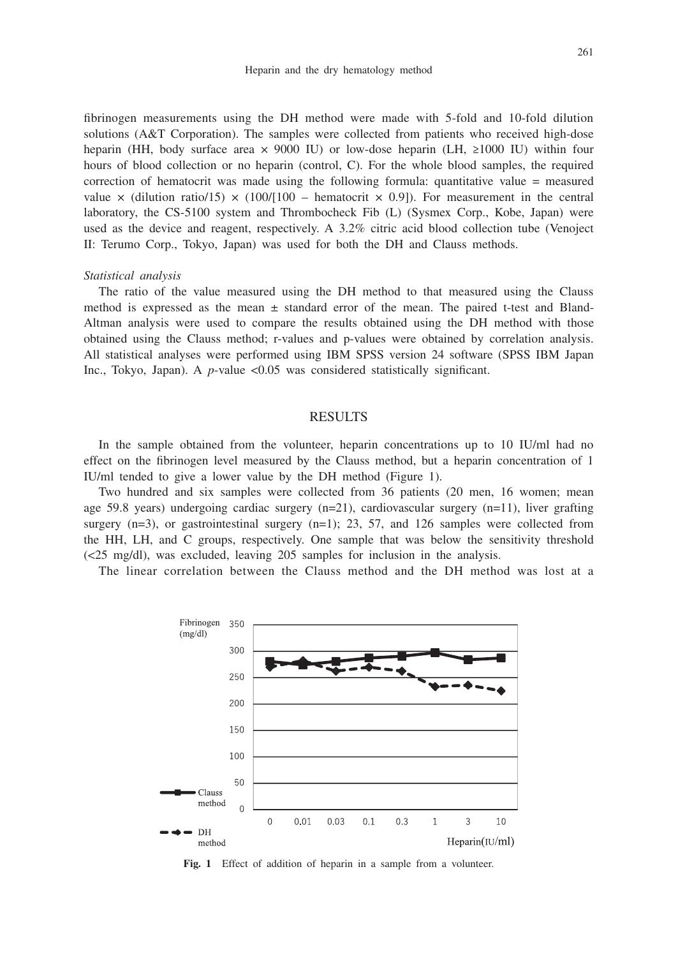fibrinogen measurements using the DH method were made with 5-fold and 10-fold dilution solutions (A&T Corporation). The samples were collected from patients who received high-dose heparin (HH, body surface area  $\times$  9000 IU) or low-dose heparin (LH, ≥1000 IU) within four hours of blood collection or no heparin (control, C). For the whole blood samples, the required correction of hematocrit was made using the following formula: quantitative value = measured value  $\times$  (dilution ratio/15)  $\times$  (100/[100 – hematocrit  $\times$  0.9]). For measurement in the central laboratory, the CS-5100 system and Thrombocheck Fib (L) (Sysmex Corp., Kobe, Japan) were used as the device and reagent, respectively. A 3.2% citric acid blood collection tube (Venoject II: Terumo Corp., Tokyo, Japan) was used for both the DH and Clauss methods.

#### *Statistical analysis*

The ratio of the value measured using the DH method to that measured using the Clauss method is expressed as the mean  $\pm$  standard error of the mean. The paired t-test and Bland-Altman analysis were used to compare the results obtained using the DH method with those obtained using the Clauss method; r-values and p-values were obtained by correlation analysis. All statistical analyses were performed using IBM SPSS version 24 software (SPSS IBM Japan Inc., Tokyo, Japan). A *p*-value <0.05 was considered statistically significant.

### RESULTS

In the sample obtained from the volunteer, heparin concentrations up to 10 IU/ml had no effect on the fibrinogen level measured by the Clauss method, but a heparin concentration of 1 IU/ml tended to give a lower value by the DH method (Figure 1).

Two hundred and six samples were collected from 36 patients (20 men, 16 women; mean age 59.8 years) undergoing cardiac surgery (n=21), cardiovascular surgery (n=11), liver grafting surgery  $(n=3)$ , or gastrointestinal surgery  $(n=1)$ ; 23, 57, and 126 samples were collected from the HH, LH, and C groups, respectively. One sample that was below the sensitivity threshold (<25 mg/dl), was excluded, leaving 205 samples for inclusion in the analysis.

The linear correlation between the Clauss method and the DH method was lost at a



Fig. 1 Effect of addition of heparin in a sample from a volunteer.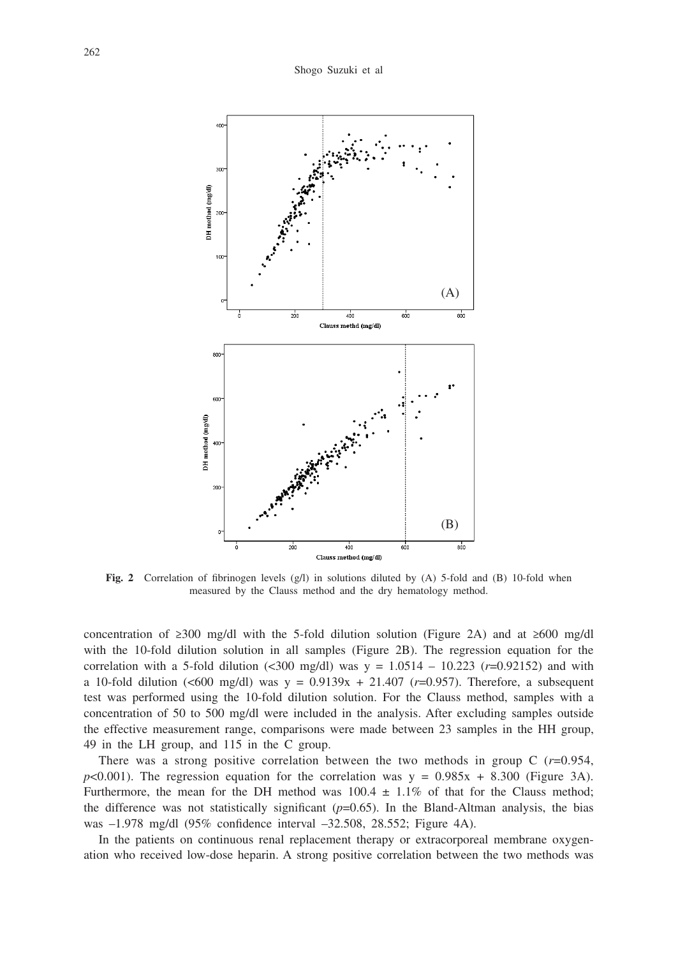

Fig. 2 Correlation of fibrinogen levels (g/l) in solutions diluted by (A) 5-fold and (B) 10-fold when measured by the Clauss method and the dry hematology method.

concentration of ≥300 mg/dl with the 5-fold dilution solution (Figure 2A) and at ≥600 mg/dl with the 10-fold dilution solution in all samples (Figure 2B). The regression equation for the correlation with a 5-fold dilution (<300 mg/dl) was  $y = 1.0514 - 10.223$  ( $r = 0.92152$ ) and with a 10-fold dilution (<600 mg/dl) was y = 0.9139x + 21.407 (*r*=0.957). Therefore, a subsequent test was performed using the 10-fold dilution solution. For the Clauss method, samples with a concentration of 50 to 500 mg/dl were included in the analysis. After excluding samples outside the effective measurement range, comparisons were made between 23 samples in the HH group, 49 in the LH group, and 115 in the C group.

There was a strong positive correlation between the two methods in group C (*r*=0.954,  $p$ <0.001). The regression equation for the correlation was  $y = 0.985x + 8.300$  (Figure 3A). Furthermore, the mean for the DH method was  $100.4 \pm 1.1\%$  of that for the Clauss method; the difference was not statistically significant  $(p=0.65)$ . In the Bland-Altman analysis, the bias was –1.978 mg/dl (95% confidence interval –32.508, 28.552; Figure 4A).

In the patients on continuous renal replacement therapy or extracorporeal membrane oxygenation who received low-dose heparin. A strong positive correlation between the two methods was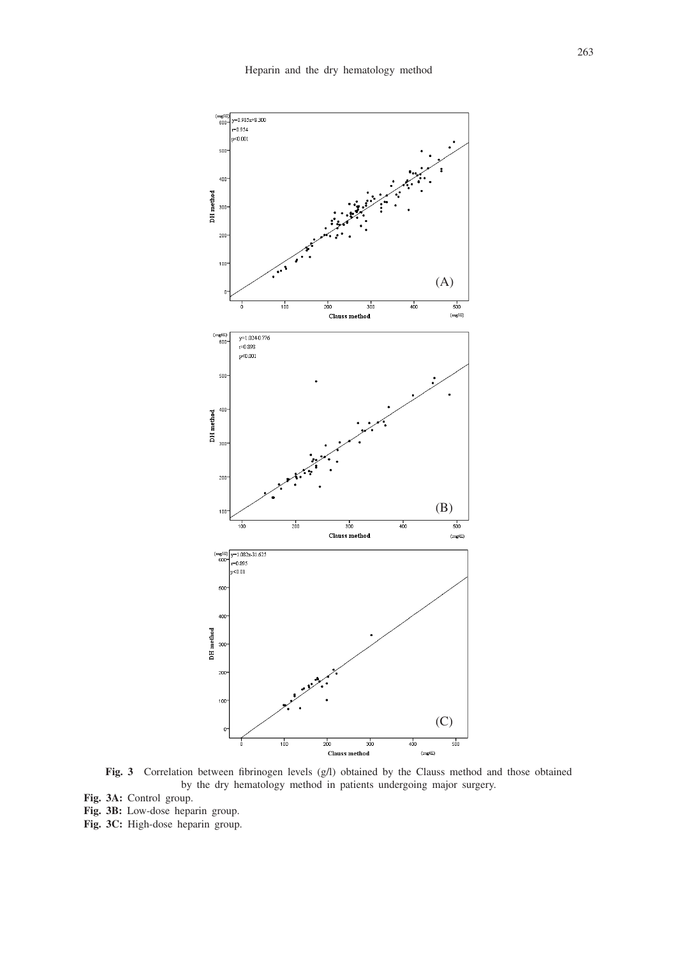

**Fig. 3** Correlation between fibrinogen levels (g/l) obtained by the Clauss method and those obtained by the dry hematology method in patients undergoing major surgery.

- **Fig. 3A:** Control group.
- **Fig. 3B:** Low-dose heparin group.
- **Fig. 3C:** High-dose heparin group.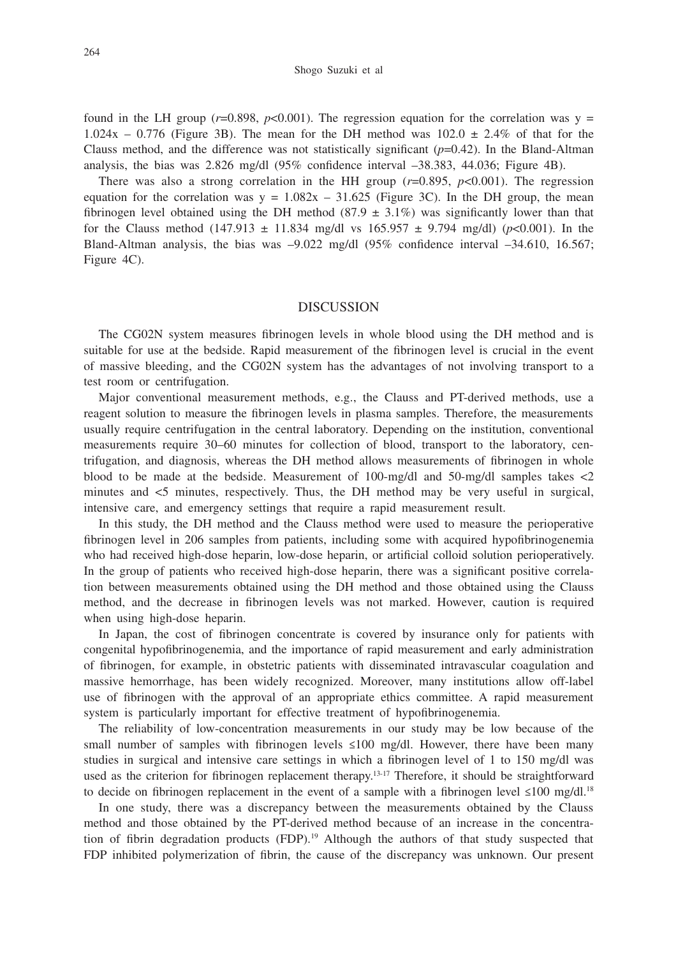found in the LH group ( $r=0.898$ ,  $p<0.001$ ). The regression equation for the correlation was  $y =$  $1.024x - 0.776$  (Figure 3B). The mean for the DH method was  $102.0 \pm 2.4\%$  of that for the Clauss method, and the difference was not statistically significant  $(p=0.42)$ . In the Bland-Altman analysis, the bias was 2.826 mg/dl (95% confidence interval –38.383, 44.036; Figure 4B).

There was also a strong correlation in the HH group  $(r=0.895, p<0.001)$ . The regression equation for the correlation was  $y = 1.082x - 31.625$  (Figure 3C). In the DH group, the mean fibrinogen level obtained using the DH method  $(87.9 \pm 3.1\%)$  was significantly lower than that for the Clauss method (147.913  $\pm$  11.834 mg/dl vs 165.957  $\pm$  9.794 mg/dl) (*p*<0.001). In the Bland-Altman analysis, the bias was –9.022 mg/dl (95% confidence interval –34.610, 16.567; Figure 4C).

### DISCUSSION

The CG02N system measures fibrinogen levels in whole blood using the DH method and is suitable for use at the bedside. Rapid measurement of the fibrinogen level is crucial in the event of massive bleeding, and the CG02N system has the advantages of not involving transport to a test room or centrifugation.

Major conventional measurement methods, e.g., the Clauss and PT-derived methods, use a reagent solution to measure the fibrinogen levels in plasma samples. Therefore, the measurements usually require centrifugation in the central laboratory. Depending on the institution, conventional measurements require 30–60 minutes for collection of blood, transport to the laboratory, centrifugation, and diagnosis, whereas the DH method allows measurements of fibrinogen in whole blood to be made at the bedside. Measurement of 100-mg/dl and 50-mg/dl samples takes <2 minutes and <5 minutes, respectively. Thus, the DH method may be very useful in surgical, intensive care, and emergency settings that require a rapid measurement result.

In this study, the DH method and the Clauss method were used to measure the perioperative fibrinogen level in 206 samples from patients, including some with acquired hypofibrinogenemia who had received high-dose heparin, low-dose heparin, or artificial colloid solution perioperatively. In the group of patients who received high-dose heparin, there was a significant positive correlation between measurements obtained using the DH method and those obtained using the Clauss method, and the decrease in fibrinogen levels was not marked. However, caution is required when using high-dose heparin.

In Japan, the cost of fibrinogen concentrate is covered by insurance only for patients with congenital hypofibrinogenemia, and the importance of rapid measurement and early administration of fibrinogen, for example, in obstetric patients with disseminated intravascular coagulation and massive hemorrhage, has been widely recognized. Moreover, many institutions allow off-label use of fibrinogen with the approval of an appropriate ethics committee. A rapid measurement system is particularly important for effective treatment of hypofibrinogenemia.

The reliability of low-concentration measurements in our study may be low because of the small number of samples with fibrinogen levels  $\leq 100$  mg/dl. However, there have been many studies in surgical and intensive care settings in which a fibrinogen level of 1 to 150 mg/dl was used as the criterion for fibrinogen replacement therapy.<sup>13-17</sup> Therefore, it should be straightforward to decide on fibrinogen replacement in the event of a sample with a fibrinogen level  $\leq 100$  mg/dl.<sup>18</sup>

In one study, there was a discrepancy between the measurements obtained by the Clauss method and those obtained by the PT-derived method because of an increase in the concentration of fibrin degradation products  $(FDP)$ .<sup>19</sup> Although the authors of that study suspected that FDP inhibited polymerization of fibrin, the cause of the discrepancy was unknown. Our present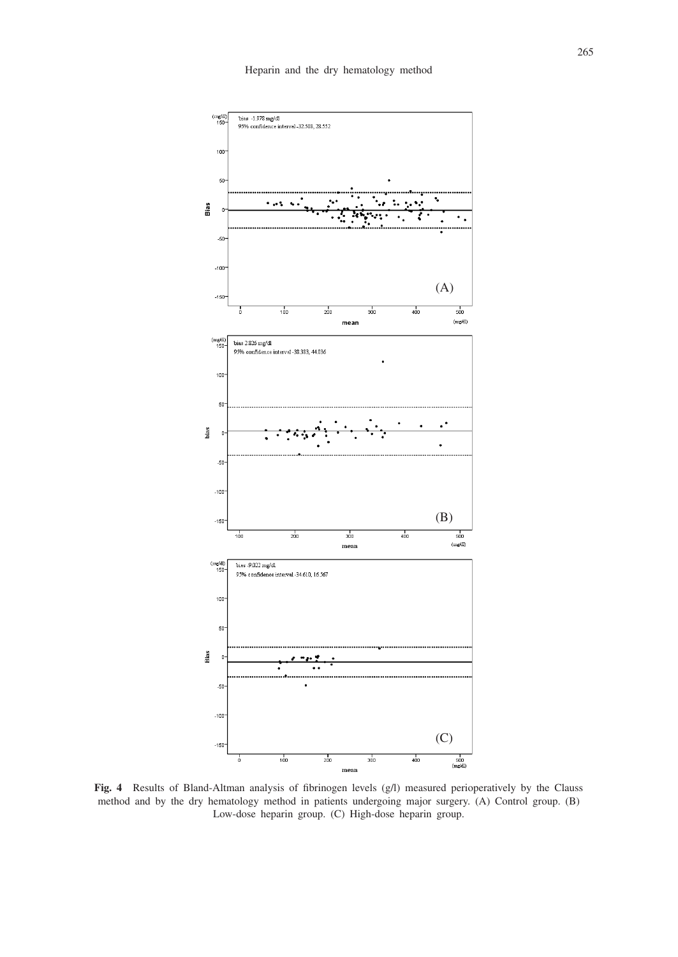

**Fig. 4** Results of Bland-Altman analysis of fibrinogen levels (g/l) measured perioperatively by the Clauss method and by the dry hematology method in patients undergoing major surgery. (A) Control group. (B) Low-dose heparin group. (C) High-dose heparin group.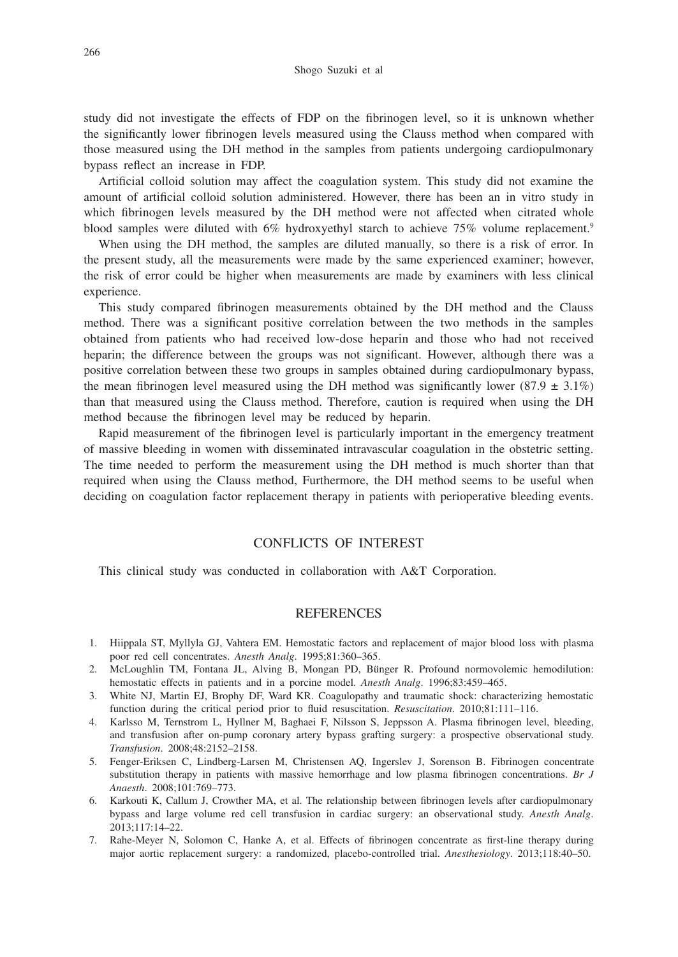study did not investigate the effects of FDP on the fibrinogen level, so it is unknown whether the significantly lower fibrinogen levels measured using the Clauss method when compared with those measured using the DH method in the samples from patients undergoing cardiopulmonary bypass reflect an increase in FDP.

Artificial colloid solution may affect the coagulation system. This study did not examine the amount of artificial colloid solution administered. However, there has been an in vitro study in which fibrinogen levels measured by the DH method were not affected when citrated whole blood samples were diluted with 6% hydroxyethyl starch to achieve 75% volume replacement.<sup>9</sup>

When using the DH method, the samples are diluted manually, so there is a risk of error. In the present study, all the measurements were made by the same experienced examiner; however, the risk of error could be higher when measurements are made by examiners with less clinical experience.

This study compared fibrinogen measurements obtained by the DH method and the Clauss method. There was a significant positive correlation between the two methods in the samples obtained from patients who had received low-dose heparin and those who had not received heparin; the difference between the groups was not significant. However, although there was a positive correlation between these two groups in samples obtained during cardiopulmonary bypass, the mean fibrinogen level measured using the DH method was significantly lower (87.9  $\pm$  3.1%) than that measured using the Clauss method. Therefore, caution is required when using the DH method because the fibrinogen level may be reduced by heparin.

Rapid measurement of the fibrinogen level is particularly important in the emergency treatment of massive bleeding in women with disseminated intravascular coagulation in the obstetric setting. The time needed to perform the measurement using the DH method is much shorter than that required when using the Clauss method, Furthermore, the DH method seems to be useful when deciding on coagulation factor replacement therapy in patients with perioperative bleeding events.

# CONFLICTS OF INTEREST

This clinical study was conducted in collaboration with A&T Corporation.

#### **REFERENCES**

- 1. Hiippala ST, Myllyla GJ, Vahtera EM. Hemostatic factors and replacement of major blood loss with plasma poor red cell concentrates. *Anesth Analg*. 1995;81:360–365.
- 2. McLoughlin TM, Fontana JL, Alving B, Mongan PD, Bünger R. Profound normovolemic hemodilution: hemostatic effects in patients and in a porcine model. *Anesth Analg*. 1996;83:459–465.
- 3. White NJ, Martin EJ, Brophy DF, Ward KR. Coagulopathy and traumatic shock: characterizing hemostatic function during the critical period prior to fluid resuscitation. *Resuscitation*. 2010;81:111–116.
- 4. Karlsso M, Ternstrom L, Hyllner M, Baghaei F, Nilsson S, Jeppsson A. Plasma fibrinogen level, bleeding, and transfusion after on-pump coronary artery bypass grafting surgery: a prospective observational study. *Transfusion*. 2008;48:2152–2158.
- 5. Fenger-Eriksen C, Lindberg-Larsen M, Christensen AQ, Ingerslev J, Sorenson B. Fibrinogen concentrate substitution therapy in patients with massive hemorrhage and low plasma fibrinogen concentrations. *Br J Anaesth*. 2008;101:769–773.
- 6. Karkouti K, Callum J, Crowther MA, et al. The relationship between fibrinogen levels after cardiopulmonary bypass and large volume red cell transfusion in cardiac surgery: an observational study. *Anesth Analg*. 2013;117:14–22.
- 7. Rahe-Meyer N, Solomon C, Hanke A, et al. Effects of fibrinogen concentrate as first-line therapy during major aortic replacement surgery: a randomized, placebo-controlled trial. *Anesthesiology*. 2013;118:40–50.